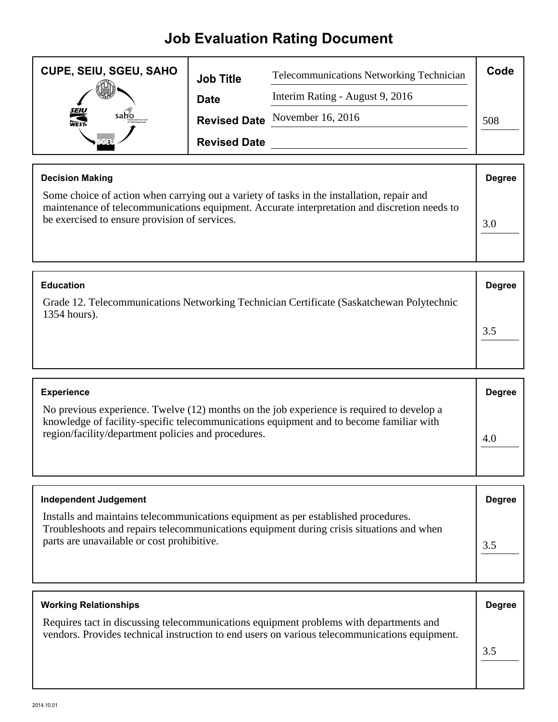## **Job Evaluation Rating Document**

| <b>CUPE, SEIU, SGEU, SAHO</b> | <b>Job Title</b>    | <b>Telecommunications Networking Technician</b> | Code |
|-------------------------------|---------------------|-------------------------------------------------|------|
|                               | <b>Date</b>         | Interim Rating - August 9, 2016                 |      |
| <b>SEIU</b><br>WEST-          |                     | Revised Date November 16, 2016                  | 508  |
|                               | <b>Revised Date</b> |                                                 |      |

| <b>Decision Making</b>                                                                                                                                                                                                                      | <b>Degree</b> |
|---------------------------------------------------------------------------------------------------------------------------------------------------------------------------------------------------------------------------------------------|---------------|
| Some choice of action when carrying out a variety of tasks in the installation, repair and<br>maintenance of telecommunications equipment. Accurate interpretation and discretion needs to<br>be exercised to ensure provision of services. | 3.0           |

| <b>Education</b>                                                                                         | <b>Degree</b> |
|----------------------------------------------------------------------------------------------------------|---------------|
| Grade 12. Telecommunications Networking Technician Certificate (Saskatchewan Polytechnic<br>1354 hours). |               |
|                                                                                                          |               |
|                                                                                                          |               |

| <b>Experience</b>                                                                                                                                                                                                                           | <b>Degree</b> |
|---------------------------------------------------------------------------------------------------------------------------------------------------------------------------------------------------------------------------------------------|---------------|
| No previous experience. Twelve (12) months on the job experience is required to develop a<br>knowledge of facility-specific telecommunications equipment and to become familiar with<br>region/facility/department policies and procedures. |               |

| <b>Independent Judgement</b>                                                                                                                                                                                                 | <b>Degree</b> |
|------------------------------------------------------------------------------------------------------------------------------------------------------------------------------------------------------------------------------|---------------|
| Installs and maintains telecommunications equipment as per established procedures.<br>Troubleshoots and repairs telecommunications equipment during crisis situations and when<br>parts are unavailable or cost prohibitive. | 3.5           |

| <b>Working Relationships</b>                                                                                                                                                            | <b>Degree</b> |
|-----------------------------------------------------------------------------------------------------------------------------------------------------------------------------------------|---------------|
| Requires tact in discussing telecommunications equipment problems with departments and<br>vendors. Provides technical instruction to end users on various telecommunications equipment. |               |
|                                                                                                                                                                                         | 3.5           |